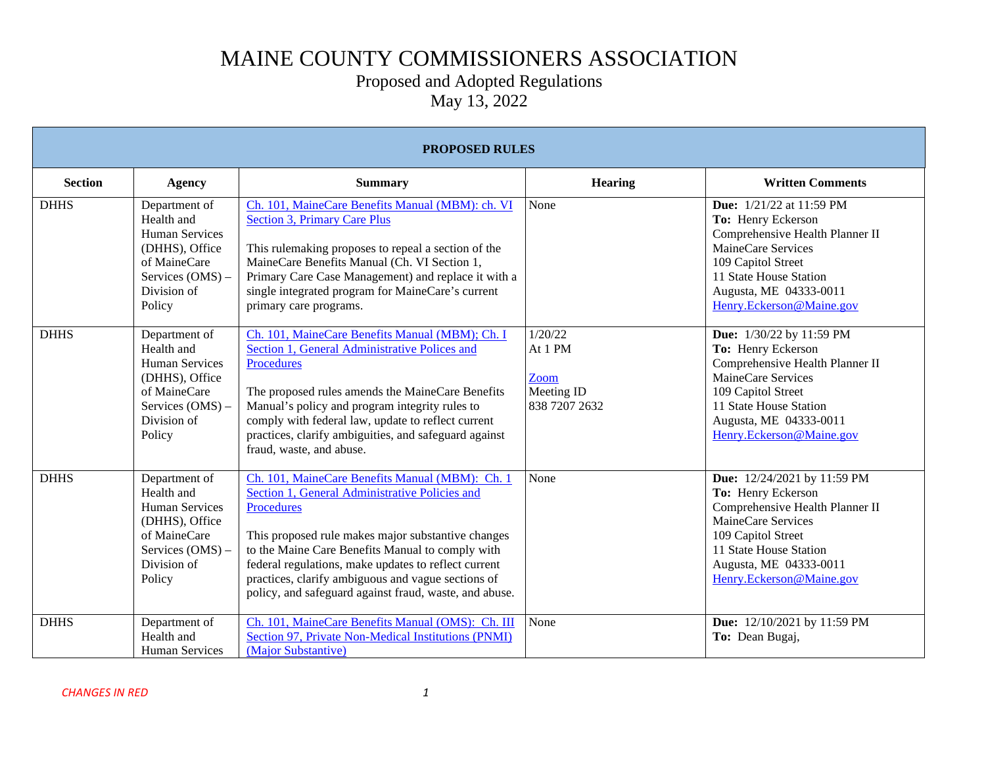### Proposed and Adopted Regulations

| <b>PROPOSED RULES</b> |                                                                                                                                     |                                                                                                                                                                                                                                                                                                                                                                                                          |                                                           |                                                                                                                                                                                                                      |  |
|-----------------------|-------------------------------------------------------------------------------------------------------------------------------------|----------------------------------------------------------------------------------------------------------------------------------------------------------------------------------------------------------------------------------------------------------------------------------------------------------------------------------------------------------------------------------------------------------|-----------------------------------------------------------|----------------------------------------------------------------------------------------------------------------------------------------------------------------------------------------------------------------------|--|
| <b>Section</b>        | <b>Agency</b>                                                                                                                       | <b>Summary</b>                                                                                                                                                                                                                                                                                                                                                                                           | <b>Hearing</b>                                            | <b>Written Comments</b>                                                                                                                                                                                              |  |
| <b>DHHS</b>           | Department of<br>Health and<br><b>Human Services</b><br>(DHHS), Office<br>of MaineCare<br>Services (OMS) -<br>Division of<br>Policy | Ch. 101, MaineCare Benefits Manual (MBM): ch. VI<br><b>Section 3, Primary Care Plus</b><br>This rulemaking proposes to repeal a section of the<br>MaineCare Benefits Manual (Ch. VI Section 1,<br>Primary Care Case Management) and replace it with a<br>single integrated program for MaineCare's current<br>primary care programs.                                                                     | None                                                      | <b>Due:</b> 1/21/22 at 11:59 PM<br>To: Henry Eckerson<br>Comprehensive Health Planner II<br>MaineCare Services<br>109 Capitol Street<br>11 State House Station<br>Augusta, ME 04333-0011<br>Henry.Eckerson@Maine.gov |  |
| <b>DHHS</b>           | Department of<br>Health and<br><b>Human Services</b><br>(DHHS), Office<br>of MaineCare<br>Services (OMS) -<br>Division of<br>Policy | Ch. 101, MaineCare Benefits Manual (MBM); Ch. I<br>Section 1, General Administrative Polices and<br><b>Procedures</b><br>The proposed rules amends the MaineCare Benefits<br>Manual's policy and program integrity rules to<br>comply with federal law, update to reflect current<br>practices, clarify ambiguities, and safeguard against<br>fraud, waste, and abuse.                                   | 1/20/22<br>At 1 PM<br>Zoom<br>Meeting ID<br>838 7207 2632 | Due: 1/30/22 by 11:59 PM<br>To: Henry Eckerson<br>Comprehensive Health Planner II<br>MaineCare Services<br>109 Capitol Street<br>11 State House Station<br>Augusta, ME 04333-0011<br>Henry.Eckerson@Maine.gov        |  |
| <b>DHHS</b>           | Department of<br>Health and<br><b>Human Services</b><br>(DHHS), Office<br>of MaineCare<br>Services (OMS) -<br>Division of<br>Policy | Ch. 101, MaineCare Benefits Manual (MBM): Ch. 1<br>Section 1, General Administrative Policies and<br><b>Procedures</b><br>This proposed rule makes major substantive changes<br>to the Maine Care Benefits Manual to comply with<br>federal regulations, make updates to reflect current<br>practices, clarify ambiguous and vague sections of<br>policy, and safeguard against fraud, waste, and abuse. | None                                                      | Due: 12/24/2021 by 11:59 PM<br>To: Henry Eckerson<br>Comprehensive Health Planner II<br>MaineCare Services<br>109 Capitol Street<br>11 State House Station<br>Augusta, ME 04333-0011<br>Henry.Eckerson@Maine.gov     |  |
| <b>DHHS</b>           | Department of<br>Health and<br><b>Human Services</b>                                                                                | Ch. 101, MaineCare Benefits Manual (OMS): Ch. III<br>Section 97, Private Non-Medical Institutions (PNMI)<br>(Major Substantive)                                                                                                                                                                                                                                                                          | None                                                      | Due: 12/10/2021 by 11:59 PM<br>To: Dean Bugaj,                                                                                                                                                                       |  |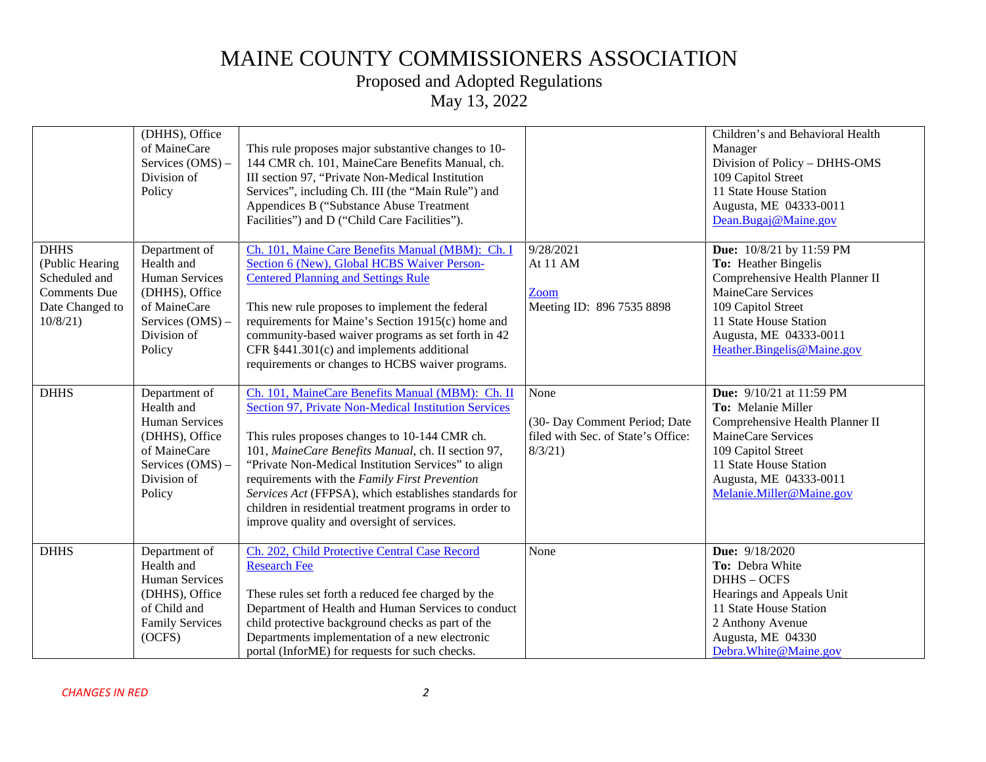# Proposed and Adopted Regulations

|                                                                                                      | (DHHS), Office<br>of MaineCare<br>Services (OMS) -<br>Division of<br>Policy                                                         | This rule proposes major substantive changes to 10-<br>144 CMR ch. 101, MaineCare Benefits Manual, ch.<br>III section 97, "Private Non-Medical Institution<br>Services", including Ch. III (the "Main Rule") and<br>Appendices B ("Substance Abuse Treatment<br>Facilities") and D ("Child Care Facilities").                                                                                                                                                                            |                                                                                       | Children's and Behavioral Health<br>Manager<br>Division of Policy - DHHS-OMS<br>109 Capitol Street<br>11 State House Station<br>Augusta, ME 04333-0011<br>Dean.Bugaj@Maine.gov                                       |
|------------------------------------------------------------------------------------------------------|-------------------------------------------------------------------------------------------------------------------------------------|------------------------------------------------------------------------------------------------------------------------------------------------------------------------------------------------------------------------------------------------------------------------------------------------------------------------------------------------------------------------------------------------------------------------------------------------------------------------------------------|---------------------------------------------------------------------------------------|----------------------------------------------------------------------------------------------------------------------------------------------------------------------------------------------------------------------|
| <b>DHHS</b><br>(Public Hearing<br>Scheduled and<br><b>Comments Due</b><br>Date Changed to<br>10/8/21 | Department of<br>Health and<br><b>Human Services</b><br>(DHHS), Office<br>of MaineCare<br>Services (OMS) -<br>Division of<br>Policy | Ch. 101, Maine Care Benefits Manual (MBM): Ch. I<br>Section 6 (New), Global HCBS Waiver Person-<br><b>Centered Planning and Settings Rule</b><br>This new rule proposes to implement the federal<br>requirements for Maine's Section 1915(c) home and<br>community-based waiver programs as set forth in 42<br>CFR §441.301(c) and implements additional<br>requirements or changes to HCBS waiver programs.                                                                             | 9/28/2021<br>At 11 AM<br>Zoom<br>Meeting ID: 896 7535 8898                            | Due: 10/8/21 by 11:59 PM<br>To: Heather Bingelis<br>Comprehensive Health Planner II<br>MaineCare Services<br>109 Capitol Street<br>11 State House Station<br>Augusta, ME 04333-0011<br>Heather.Bingelis@Maine.gov    |
| <b>DHHS</b>                                                                                          | Department of<br>Health and<br><b>Human Services</b><br>(DHHS), Office<br>of MaineCare<br>Services (OMS) -<br>Division of<br>Policy | Ch. 101, MaineCare Benefits Manual (MBM): Ch. II<br>Section 97, Private Non-Medical Institution Services<br>This rules proposes changes to 10-144 CMR ch.<br>101, MaineCare Benefits Manual, ch. II section 97,<br>"Private Non-Medical Institution Services" to align<br>requirements with the Family First Prevention<br>Services Act (FFPSA), which establishes standards for<br>children in residential treatment programs in order to<br>improve quality and oversight of services. | None<br>(30- Day Comment Period; Date<br>filed with Sec. of State's Office:<br>8/3/21 | <b>Due:</b> 9/10/21 at 11:59 PM<br>To: Melanie Miller<br>Comprehensive Health Planner II<br>MaineCare Services<br>109 Capitol Street<br>11 State House Station<br>Augusta, ME 04333-0011<br>Melanie.Miller@Maine.gov |
| <b>DHHS</b>                                                                                          | Department of<br>Health and<br><b>Human Services</b><br>(DHHS), Office<br>of Child and<br><b>Family Services</b><br>(OCFS)          | Ch. 202, Child Protective Central Case Record<br><b>Research Fee</b><br>These rules set forth a reduced fee charged by the<br>Department of Health and Human Services to conduct<br>child protective background checks as part of the<br>Departments implementation of a new electronic<br>portal (InforME) for requests for such checks.                                                                                                                                                | None                                                                                  | Due: 9/18/2020<br>To: Debra White<br>DHHS-OCFS<br>Hearings and Appeals Unit<br>11 State House Station<br>2 Anthony Avenue<br>Augusta, ME 04330<br>Debra. White @ Maine.gov                                           |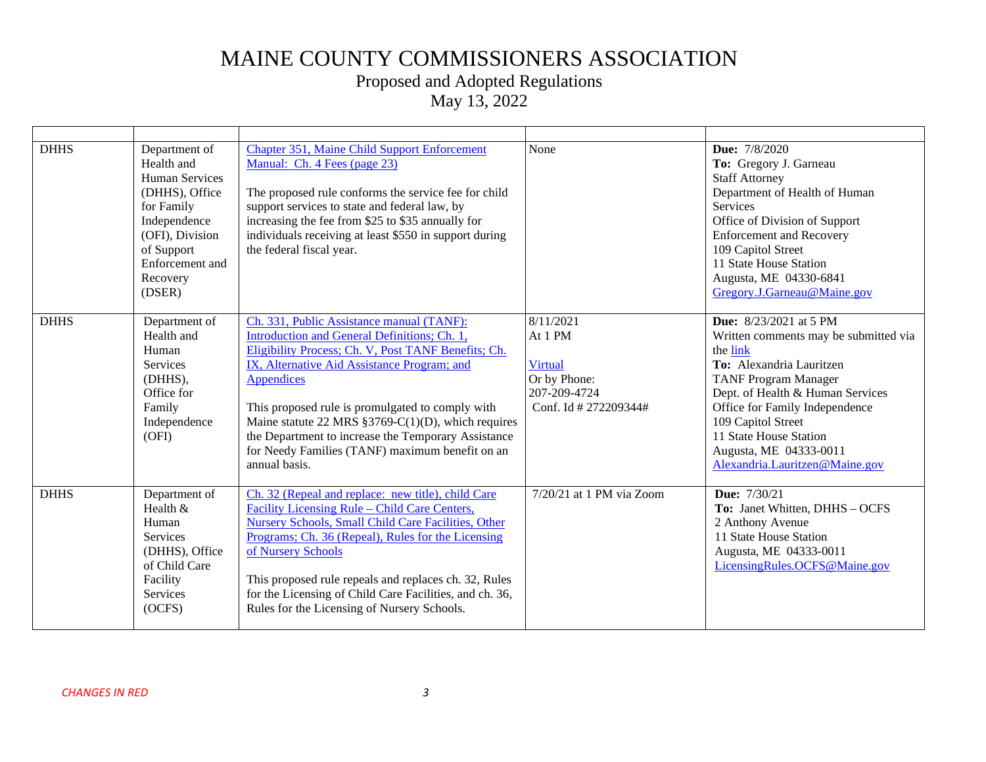### Proposed and Adopted Regulations

| <b>DHHS</b> | Department of<br>Health and<br><b>Human Services</b><br>(DHHS), Office<br>for Family<br>Independence<br>(OFI), Division<br>of Support<br>Enforcement and<br>Recovery<br>(DSER) | <b>Chapter 351, Maine Child Support Enforcement</b><br>Manual: Ch. 4 Fees (page 23)<br>The proposed rule conforms the service fee for child<br>support services to state and federal law, by<br>increasing the fee from \$25 to \$35 annually for<br>individuals receiving at least \$550 in support during<br>the federal fiscal year.                                                                                                                        | None                                                                                            | Due: 7/8/2020<br>To: Gregory J. Garneau<br><b>Staff Attorney</b><br>Department of Health of Human<br>Services<br>Office of Division of Support<br><b>Enforcement and Recovery</b><br>109 Capitol Street<br>11 State House Station<br>Augusta, ME 04330-6841<br>Gregory.J.Garneau@Maine.gov                                      |
|-------------|--------------------------------------------------------------------------------------------------------------------------------------------------------------------------------|----------------------------------------------------------------------------------------------------------------------------------------------------------------------------------------------------------------------------------------------------------------------------------------------------------------------------------------------------------------------------------------------------------------------------------------------------------------|-------------------------------------------------------------------------------------------------|---------------------------------------------------------------------------------------------------------------------------------------------------------------------------------------------------------------------------------------------------------------------------------------------------------------------------------|
| <b>DHHS</b> | Department of<br>Health and<br>Human<br>Services<br>(DHHS),<br>Office for<br>Family<br>Independence<br>(OFI)                                                                   | Ch. 331, Public Assistance manual (TANF):<br>Introduction and General Definitions; Ch. 1,<br>Eligibility Process; Ch. V, Post TANF Benefits; Ch.<br>IX, Alternative Aid Assistance Program; and<br><b>Appendices</b><br>This proposed rule is promulgated to comply with<br>Maine statute 22 MRS $\S 3769-C(1)(D)$ , which requires<br>the Department to increase the Temporary Assistance<br>for Needy Families (TANF) maximum benefit on an<br>annual basis. | 8/11/2021<br>At 1 PM<br><b>Virtual</b><br>Or by Phone:<br>207-209-4724<br>Conf. Id # 272209344# | <b>Due:</b> 8/23/2021 at 5 PM<br>Written comments may be submitted via<br>the link<br>To: Alexandria Lauritzen<br><b>TANF Program Manager</b><br>Dept. of Health & Human Services<br>Office for Family Independence<br>109 Capitol Street<br>11 State House Station<br>Augusta, ME 04333-0011<br>Alexandria.Lauritzen@Maine.gov |
| <b>DHHS</b> | Department of<br>Health &<br>Human<br>Services<br>(DHHS), Office<br>of Child Care<br>Facility<br>Services<br>(OCFS)                                                            | Ch. 32 (Repeal and replace: new title), child Care<br>Facility Licensing Rule - Child Care Centers,<br>Nursery Schools, Small Child Care Facilities, Other<br>Programs; Ch. 36 (Repeal), Rules for the Licensing<br>of Nursery Schools<br>This proposed rule repeals and replaces ch. 32, Rules<br>for the Licensing of Child Care Facilities, and ch. 36,<br>Rules for the Licensing of Nursery Schools.                                                      | 7/20/21 at 1 PM via Zoom                                                                        | <b>Due:</b> 7/30/21<br>To: Janet Whitten, DHHS - OCFS<br>2 Anthony Avenue<br>11 State House Station<br>Augusta, ME 04333-0011<br>LicensingRules.OCFS@Maine.gov                                                                                                                                                                  |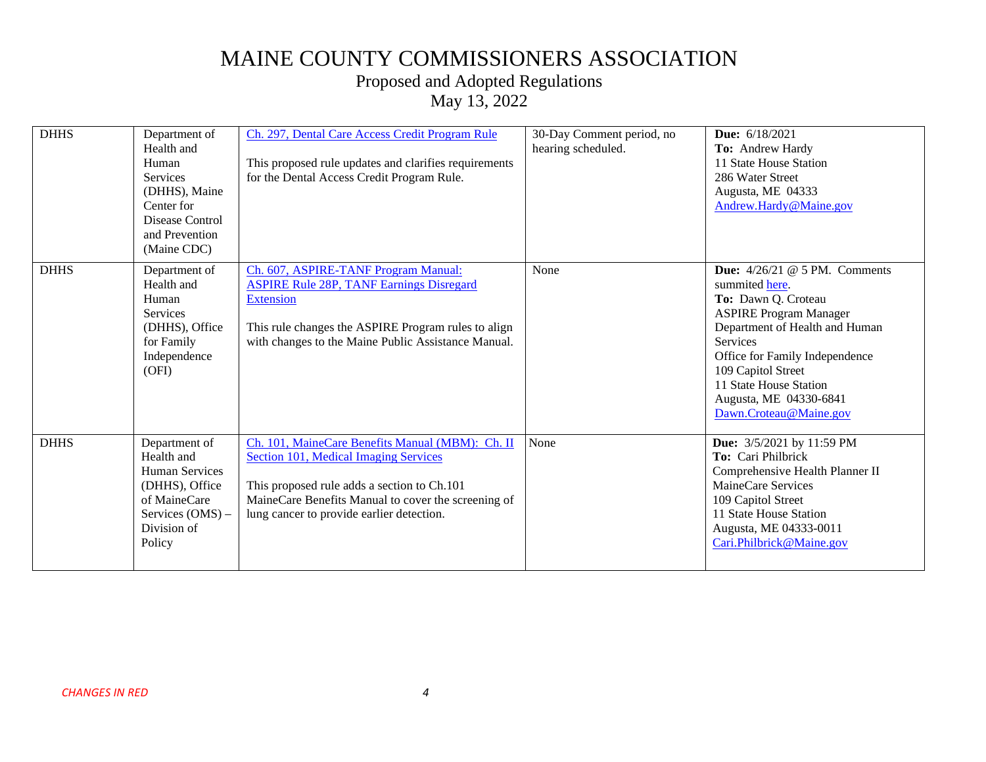### Proposed and Adopted Regulations

| <b>DHHS</b> | Department of<br>Health and<br>Human<br><b>Services</b><br>(DHHS), Maine<br>Center for<br>Disease Control<br>and Prevention<br>(Maine CDC) | Ch. 297, Dental Care Access Credit Program Rule<br>This proposed rule updates and clarifies requirements<br>for the Dental Access Credit Program Rule.                                                                                              | 30-Day Comment period, no<br>hearing scheduled. | <b>Due:</b> 6/18/2021<br>To: Andrew Hardy<br>11 State House Station<br>286 Water Street<br>Augusta, ME 04333<br>Andrew.Hardy@Maine.gov                                                                                                                                                                      |
|-------------|--------------------------------------------------------------------------------------------------------------------------------------------|-----------------------------------------------------------------------------------------------------------------------------------------------------------------------------------------------------------------------------------------------------|-------------------------------------------------|-------------------------------------------------------------------------------------------------------------------------------------------------------------------------------------------------------------------------------------------------------------------------------------------------------------|
| <b>DHHS</b> | Department of<br>Health and<br>Human<br><b>Services</b><br>(DHHS), Office<br>for Family<br>Independence<br>(OFI)                           | Ch. 607, ASPIRE-TANF Program Manual:<br><b>ASPIRE Rule 28P, TANF Earnings Disregard</b><br><b>Extension</b><br>This rule changes the ASPIRE Program rules to align<br>with changes to the Maine Public Assistance Manual.                           | None                                            | <b>Due:</b> $4/26/21$ @ 5 PM. Comments<br>summited here.<br>To: Dawn Q. Croteau<br><b>ASPIRE Program Manager</b><br>Department of Health and Human<br><b>Services</b><br>Office for Family Independence<br>109 Capitol Street<br>11 State House Station<br>Augusta, ME 04330-6841<br>Dawn.Croteau@Maine.gov |
| <b>DHHS</b> | Department of<br>Health and<br><b>Human Services</b><br>(DHHS), Office<br>of MaineCare<br>Services $(OMS)$ –<br>Division of<br>Policy      | Ch. 101, MaineCare Benefits Manual (MBM): Ch. II<br><b>Section 101, Medical Imaging Services</b><br>This proposed rule adds a section to Ch.101<br>MaineCare Benefits Manual to cover the screening of<br>lung cancer to provide earlier detection. | None                                            | Due: 3/5/2021 by 11:59 PM<br>To: Cari Philbrick<br>Comprehensive Health Planner II<br>MaineCare Services<br>109 Capitol Street<br>11 State House Station<br>Augusta, ME 04333-0011<br>Cari.Philbrick@Maine.gov                                                                                              |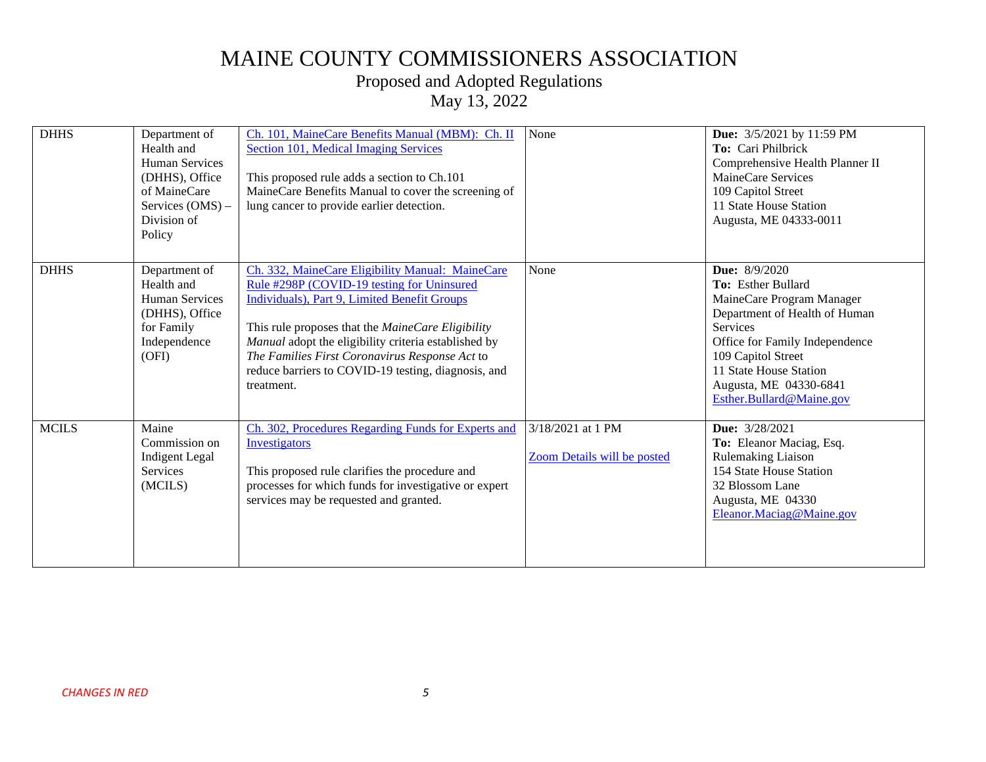### Proposed and Adopted Regulations

| <b>DHHS</b>  | Department of<br>Health and<br><b>Human Services</b><br>(DHHS), Office<br>of MaineCare<br>Services (OMS) -<br>Division of<br>Policy | Ch. 101, MaineCare Benefits Manual (MBM): Ch. II<br>Section 101, Medical Imaging Services<br>This proposed rule adds a section to Ch.101<br>MaineCare Benefits Manual to cover the screening of<br>lung cancer to provide earlier detection.                                                                                                                                       | None                                                    | Due: 3/5/2021 by 11:59 PM<br>To: Cari Philbrick<br>Comprehensive Health Planner II<br>MaineCare Services<br>109 Capitol Street<br>11 State House Station<br>Augusta, ME 04333-0011                                                                           |
|--------------|-------------------------------------------------------------------------------------------------------------------------------------|------------------------------------------------------------------------------------------------------------------------------------------------------------------------------------------------------------------------------------------------------------------------------------------------------------------------------------------------------------------------------------|---------------------------------------------------------|--------------------------------------------------------------------------------------------------------------------------------------------------------------------------------------------------------------------------------------------------------------|
| <b>DHHS</b>  | Department of<br>Health and<br><b>Human Services</b><br>(DHHS), Office<br>for Family<br>Independence<br>(OFI)                       | Ch. 332, MaineCare Eligibility Manual: MaineCare<br>Rule #298P (COVID-19 testing for Uninsured<br>Individuals), Part 9, Limited Benefit Groups<br>This rule proposes that the MaineCare Eligibility<br>Manual adopt the eligibility criteria established by<br>The Families First Coronavirus Response Act to<br>reduce barriers to COVID-19 testing, diagnosis, and<br>treatment. | None                                                    | <b>Due:</b> 8/9/2020<br>To: Esther Bullard<br>MaineCare Program Manager<br>Department of Health of Human<br>Services<br>Office for Family Independence<br>109 Capitol Street<br>11 State House Station<br>Augusta, ME 04330-6841<br>Esther.Bullard@Maine.gov |
| <b>MCILS</b> | Maine<br>Commission on<br><b>Indigent</b> Legal<br><b>Services</b><br>(MCILS)                                                       | Ch. 302, Procedures Regarding Funds for Experts and<br>Investigators<br>This proposed rule clarifies the procedure and<br>processes for which funds for investigative or expert<br>services may be requested and granted.                                                                                                                                                          | 3/18/2021 at 1 PM<br><b>Zoom Details will be posted</b> | Due: 3/28/2021<br>To: Eleanor Maciag, Esq.<br>Rulemaking Liaison<br>154 State House Station<br>32 Blossom Lane<br>Augusta, ME 04330<br>Eleanor.Maciag@Maine.gov                                                                                              |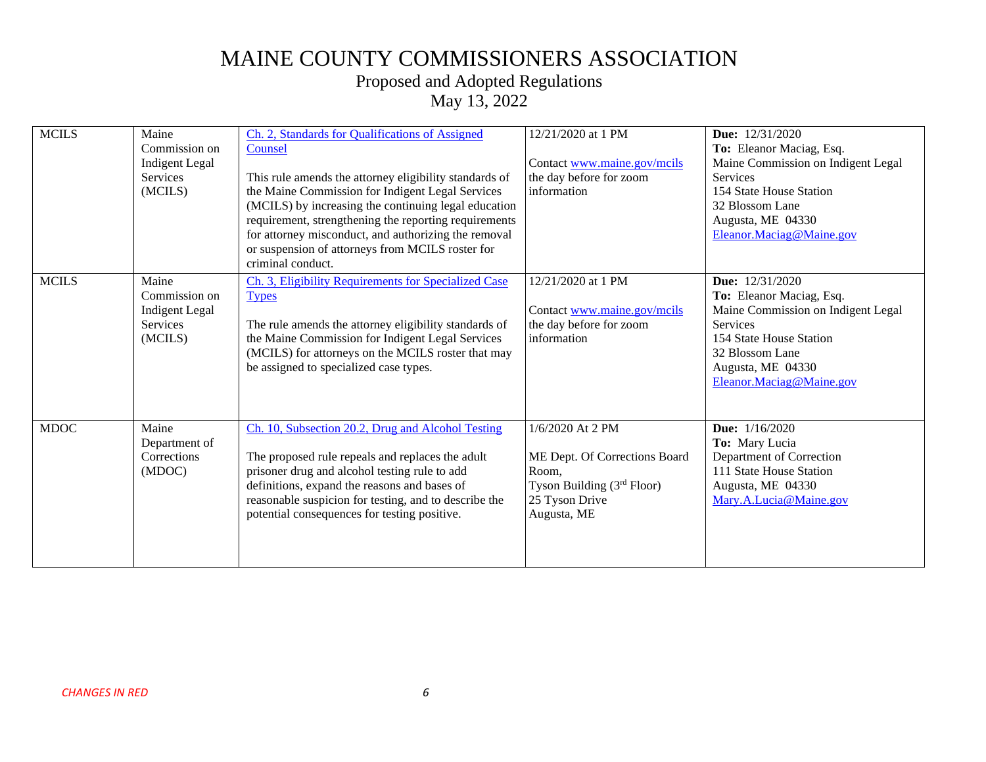### Proposed and Adopted Regulations

| <b>MCILS</b> | Maine<br>Commission on<br><b>Indigent</b> Legal<br>Services<br>(MCILS) | Ch. 2, Standards for Qualifications of Assigned<br>Counsel<br>This rule amends the attorney eligibility standards of<br>the Maine Commission for Indigent Legal Services<br>(MCILS) by increasing the continuing legal education                                                                                | 12/21/2020 at 1 PM<br>Contact www.maine.gov/mcils<br>the day before for zoom<br>information                                 | <b>Due:</b> 12/31/2020<br>To: Eleanor Maciag, Esq.<br>Maine Commission on Indigent Legal<br><b>Services</b><br>154 State House Station<br>32 Blossom Lane                                           |
|--------------|------------------------------------------------------------------------|-----------------------------------------------------------------------------------------------------------------------------------------------------------------------------------------------------------------------------------------------------------------------------------------------------------------|-----------------------------------------------------------------------------------------------------------------------------|-----------------------------------------------------------------------------------------------------------------------------------------------------------------------------------------------------|
|              |                                                                        | requirement, strengthening the reporting requirements<br>for attorney misconduct, and authorizing the removal<br>or suspension of attorneys from MCILS roster for<br>criminal conduct.                                                                                                                          |                                                                                                                             | Augusta, ME 04330<br>Eleanor. Maciag@Maine.gov                                                                                                                                                      |
| <b>MCILS</b> | Maine<br>Commission on<br><b>Indigent Legal</b><br>Services<br>(MCILS) | Ch. 3, Eligibility Requirements for Specialized Case<br><b>Types</b><br>The rule amends the attorney eligibility standards of<br>the Maine Commission for Indigent Legal Services<br>(MCILS) for attorneys on the MCILS roster that may<br>be assigned to specialized case types.                               | 12/21/2020 at 1 PM<br>Contact www.maine.gov/mcils<br>the day before for zoom<br>information                                 | <b>Due:</b> 12/31/2020<br>To: Eleanor Maciag, Esq.<br>Maine Commission on Indigent Legal<br>Services<br>154 State House Station<br>32 Blossom Lane<br>Augusta, ME 04330<br>Eleanor.Maciag@Maine.gov |
| $MDOC$       | Maine<br>Department of<br>Corrections<br>(MDOC)                        | Ch. 10, Subsection 20.2, Drug and Alcohol Testing<br>The proposed rule repeals and replaces the adult<br>prisoner drug and alcohol testing rule to add<br>definitions, expand the reasons and bases of<br>reasonable suspicion for testing, and to describe the<br>potential consequences for testing positive. | 1/6/2020 At 2 PM<br>ME Dept. Of Corrections Board<br>Room,<br>Tyson Building $(3rd Floor)$<br>25 Tyson Drive<br>Augusta, ME | Due: 1/16/2020<br>To: Mary Lucia<br>Department of Correction<br>111 State House Station<br>Augusta, ME 04330<br>Mary.A.Lucia@Maine.gov                                                              |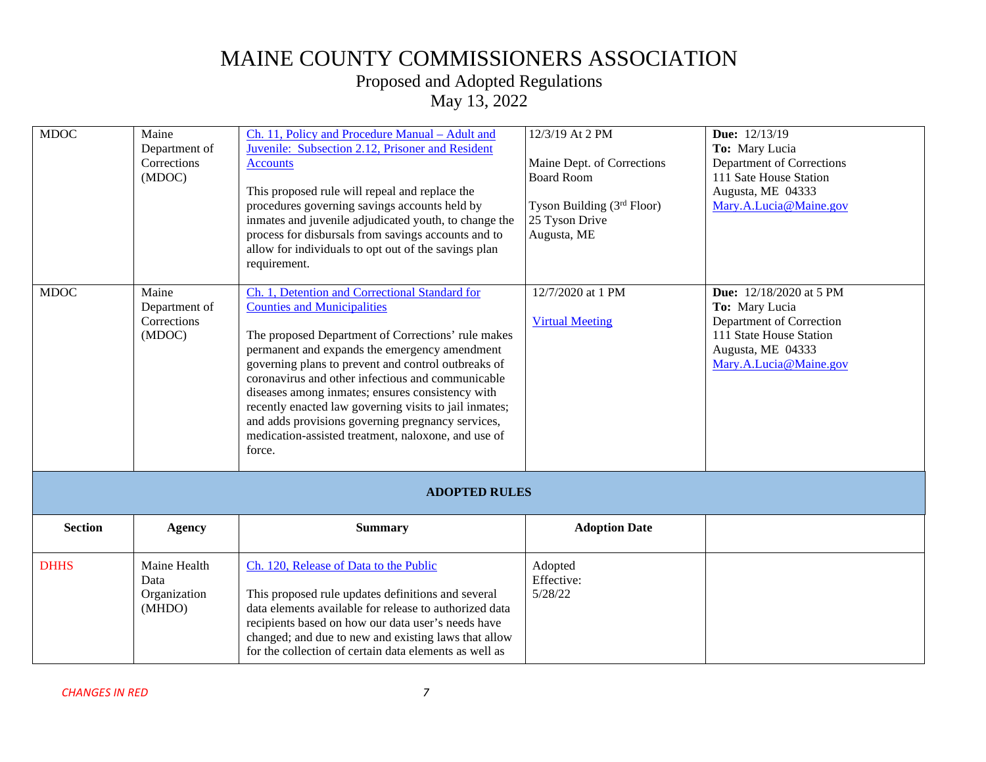### Proposed and Adopted Regulations

| <b>MDOC</b>    | Maine<br>Department of<br>Corrections<br>(MDOC) | Ch. 11, Policy and Procedure Manual - Adult and<br>Juvenile: Subsection 2.12, Prisoner and Resident<br><b>Accounts</b><br>This proposed rule will repeal and replace the<br>procedures governing savings accounts held by<br>inmates and juvenile adjudicated youth, to change the<br>process for disbursals from savings accounts and to<br>allow for individuals to opt out of the savings plan                                                                                                                                                           | 12/3/19 At 2 PM<br>Maine Dept. of Corrections<br><b>Board Room</b><br>Tyson Building $(3rd Floor)$<br>25 Tyson Drive<br>Augusta, ME | <b>Due:</b> 12/13/19<br>To: Mary Lucia<br>Department of Corrections<br>111 Sate House Station<br>Augusta, ME 04333<br>Mary.A.Lucia@Maine.gov           |
|----------------|-------------------------------------------------|-------------------------------------------------------------------------------------------------------------------------------------------------------------------------------------------------------------------------------------------------------------------------------------------------------------------------------------------------------------------------------------------------------------------------------------------------------------------------------------------------------------------------------------------------------------|-------------------------------------------------------------------------------------------------------------------------------------|--------------------------------------------------------------------------------------------------------------------------------------------------------|
| <b>MDOC</b>    | Maine<br>Department of<br>Corrections<br>(MDOC) | requirement.<br>Ch. 1, Detention and Correctional Standard for<br><b>Counties and Municipalities</b><br>The proposed Department of Corrections' rule makes<br>permanent and expands the emergency amendment<br>governing plans to prevent and control outbreaks of<br>coronavirus and other infectious and communicable<br>diseases among inmates; ensures consistency with<br>recently enacted law governing visits to jail inmates;<br>and adds provisions governing pregnancy services,<br>medication-assisted treatment, naloxone, and use of<br>force. | 12/7/2020 at 1 PM<br><b>Virtual Meeting</b>                                                                                         | <b>Due:</b> 12/18/2020 at 5 PM<br>To: Mary Lucia<br>Department of Correction<br>111 State House Station<br>Augusta, ME 04333<br>Mary.A.Lucia@Maine.gov |
|                |                                                 | <b>ADOPTED RULES</b>                                                                                                                                                                                                                                                                                                                                                                                                                                                                                                                                        |                                                                                                                                     |                                                                                                                                                        |
| <b>Section</b> | <b>Agency</b>                                   | <b>Summary</b>                                                                                                                                                                                                                                                                                                                                                                                                                                                                                                                                              | <b>Adoption Date</b>                                                                                                                |                                                                                                                                                        |
| <b>DHHS</b>    | Maine Health<br>Data<br>Organization<br>(MHDO)  | Ch. 120, Release of Data to the Public<br>This proposed rule updates definitions and several<br>data elements available for release to authorized data<br>recipients based on how our data user's needs have<br>changed; and due to new and existing laws that allow<br>for the collection of certain data elements as well as                                                                                                                                                                                                                              | Adopted<br>Effective:<br>5/28/22                                                                                                    |                                                                                                                                                        |